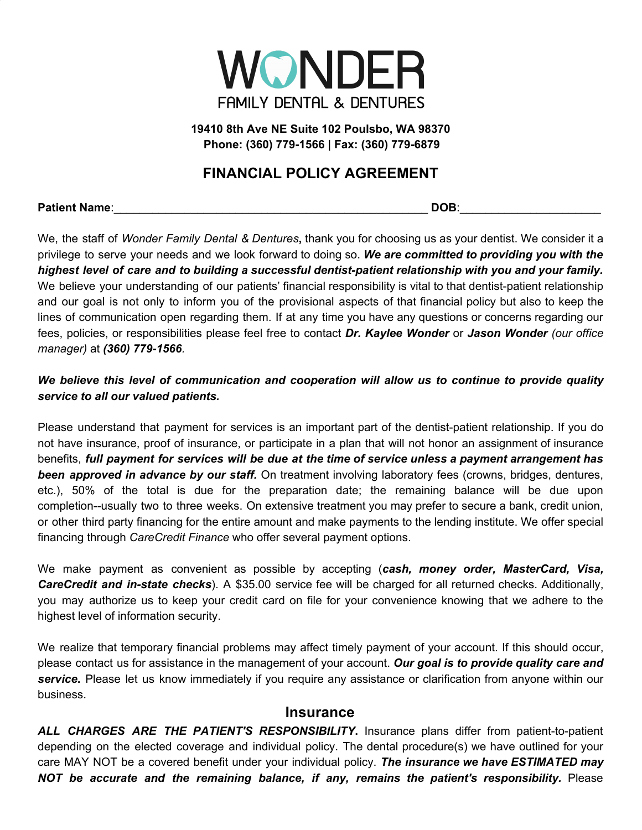

**19410 8th Ave NE Suite 102 Poulsbo, WA 98370 Phone: (360) 779-1566 | Fax: (360) 779-6879**

## **FINANCIAL POLICY AGREEMENT**

**Patient Name**:\_\_\_\_\_\_\_\_\_\_\_\_\_\_\_\_\_\_\_\_\_\_\_\_\_\_\_\_\_\_\_\_\_\_\_\_\_\_\_\_\_\_\_\_\_\_\_\_\_ **DOB**:\_\_\_\_\_\_\_\_\_\_\_\_\_\_\_\_\_\_\_\_\_\_

We, the staff of *Wonder Family Dental & Dentures***,** thank you for choosing us as your dentist. We consider it a privilege to serve your needs and we look forward to doing so. *We are committed to providing you with the highest level of care and to building a successful dentist-patient relationship with you and your family.* We believe your understanding of our patients' financial responsibility is vital to that dentist-patient relationship and our goal is not only to inform you of the provisional aspects of that financial policy but also to keep the lines of communication open regarding them. If at any time you have any questions or concerns regarding our fees, policies, or responsibilities please feel free to contact *Dr. Kaylee Wonder* or *Jason Wonder (our office manager)* at *(360) 779-1566.*

#### *We believe this level of communication and cooperation will allow us to continue to provide quality service to all our valued patients.*

Please understand that payment for services is an important part of the dentist-patient relationship. If you do not have insurance, proof of insurance, or participate in a plan that will not honor an assignment of insurance benefits, *full payment for services will be due at the time of service unless a payment arrangement has been approved in advance by our staff.* On treatment involving laboratory fees (crowns, bridges, dentures, etc.), 50% of the total is due for the preparation date; the remaining balance will be due upon completion--usually two to three weeks. On extensive treatment you may prefer to secure a bank, credit union, or other third party financing for the entire amount and make payments to the lending institute. We offer special financing through *CareCredit Finance* who offer several payment options.

We make payment as convenient as possible by accepting (*cash, money order, MasterCard, Visa, CareCredit and in-state checks*). A \$35.00 service fee will be charged for all returned checks. Additionally, you may authorize us to keep your credit card on file for your convenience knowing that we adhere to the highest level of information security.

We realize that temporary financial problems may affect timely payment of your account. If this should occur, please contact us for assistance in the management of your account. *Our goal is to provide quality care and service***.** Please let us know immediately if you require any assistance or clarification from anyone within our business.

#### **Insurance**

*ALL CHARGES ARE THE PATIENT'S RESPONSIBILITY***.** Insurance plans differ from patient-to-patient depending on the elected coverage and individual policy. The dental procedure(s) we have outlined for your care MAY NOT be a covered benefit under your individual policy. *The insurance we have ESTIMATED may NOT be accurate and the remaining balance, if any, remains the patient's responsibility.* Please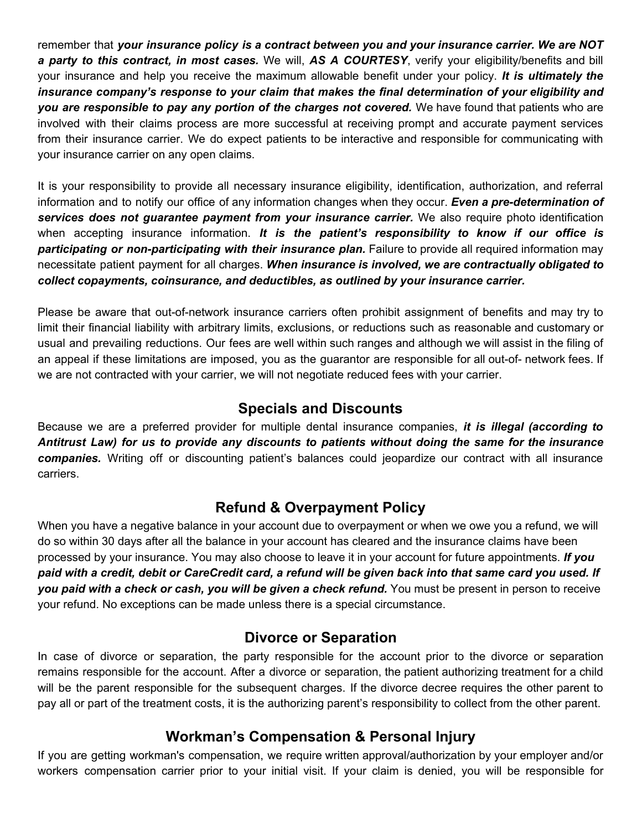remember that *your insurance policy is a contract between you and your insurance carrier. We are NOT a party to this contract, in most cases.* We will, *AS A COURTESY*, verify your eligibility/benefits and bill your insurance and help you receive the maximum allowable benefit under your policy. *It is ultimately the insurance company's response to your claim that makes the final determination of your eligibility and you are responsible to pay any portion of the charges not covered.* We have found that patients who are involved with their claims process are more successful at receiving prompt and accurate payment services from their insurance carrier. We do expect patients to be interactive and responsible for communicating with your insurance carrier on any open claims.

It is your responsibility to provide all necessary insurance eligibility, identification, authorization, and referral information and to notify our office of any information changes when they occur. *Even a pre-determination of services does not guarantee payment from your insurance carrier.* We also require photo identification when accepting insurance information. *It is the patient's responsibility to know if our office is participating or non-participating with their insurance plan.* Failure to provide all required information may necessitate patient payment for all charges. *When insurance is involved, we are contractually obligated to collect copayments, coinsurance, and deductibles, as outlined by your insurance carrier.*

Please be aware that out-of-network insurance carriers often prohibit assignment of benefits and may try to limit their financial liability with arbitrary limits, exclusions, or reductions such as reasonable and customary or usual and prevailing reductions. Our fees are well within such ranges and although we will assist in the filing of an appeal if these limitations are imposed, you as the guarantor are responsible for all out-of- network fees. If we are not contracted with your carrier, we will not negotiate reduced fees with your carrier.

## **Specials and Discounts**

Because we are a preferred provider for multiple dental insurance companies, *it is illegal (according to Antitrust Law) for us to provide any discounts to patients without doing the same for the insurance companies.* Writing off or discounting patient's balances could jeopardize our contract with all insurance carriers.

## **Refund & Overpayment Policy**

When you have a negative balance in your account due to overpayment or when we owe you a refund, we will do so within 30 days after all the balance in your account has cleared and the insurance claims have been processed by your insurance. You may also choose to leave it in your account for future appointments. *If you* paid with a credit, debit or CareCredit card, a refund will be given back into that same card you used. If *you paid with a check or cash, you will be given a check refund.* You must be present in person to receive your refund. No exceptions can be made unless there is a special circumstance.

## **Divorce or Separation**

In case of divorce or separation, the party responsible for the account prior to the divorce or separation remains responsible for the account. After a divorce or separation, the patient authorizing treatment for a child will be the parent responsible for the subsequent charges. If the divorce decree requires the other parent to pay all or part of the treatment costs, it is the authorizing parent's responsibility to collect from the other parent.

# **Workman's Compensation & Personal Injury**

If you are getting workman's compensation, we require written approval/authorization by your employer and/or workers compensation carrier prior to your initial visit. If your claim is denied, you will be responsible for